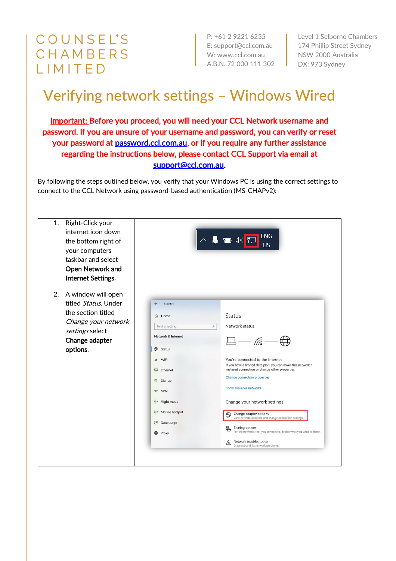## **COUNSEL'S** CHAMBERS LIMITED

P: +61 2 9221 6235 E: support@ccl.com.au W: www.ccl.com.au A.B.N. 72 000 111 302

Level 1 Selborne Chambers 174 Phillip Street Sydney NSW 2000 Australia DX: 973 Sydney

## Verifying network settings – Windows Wired

Important: Before you proceed, you will need your CCL Network username and password. If you are unsure of your username and password, you can verify or reset your password at [password.ccl.com.au,](file://///10.1.40.11/data/FILES/TECHNOLOGY/Helpdesk/Network/MSCHAP%20Screenshots/MSCHAP/Windows/password.ccl.com.au) or if you require any further assistance regarding the instructions below, please contact CCL Support via email at [support@ccl.com.au.](mailto:support@ccl.com.au)

By following the steps outlined below, you verify that your Windows PC is using the correct settings to connect to the CCL Network using password-based authentication (MS-CHAPv2):

| 1.<br>Right-Click your<br>internet icon down<br>the bottom right of<br>your computers<br>taskbar and select<br><b>Open Network and</b><br>Internet Settings. |                                                                                                                                                                                                                                                                               | <b>ENG</b><br>$\Box$<br><b>US</b>                                                                                                                                                                                                                                                                                                                                                                                                                                                                                                                                      |
|--------------------------------------------------------------------------------------------------------------------------------------------------------------|-------------------------------------------------------------------------------------------------------------------------------------------------------------------------------------------------------------------------------------------------------------------------------|------------------------------------------------------------------------------------------------------------------------------------------------------------------------------------------------------------------------------------------------------------------------------------------------------------------------------------------------------------------------------------------------------------------------------------------------------------------------------------------------------------------------------------------------------------------------|
| 2.<br>A window will open<br>titled Status. Under<br>the section titled<br>Change your network<br>settings select<br>Change adapter<br>options.               | Settings<br>d Home<br>$\varphi$<br>Find a setting<br>Network & Internet<br>曲<br>Status<br><b>6</b> WiFi<br>是 Ethernet<br>$\mathbf{C}$<br>Dial-up<br>$\infty$<br><b>VPN</b><br>☆ Flight mode<br>Mobile hotspot<br>$(\mathfrak{q})$<br><b>B</b> Data usage<br>$\bigoplus$ Proxy | <b>Status</b><br>Network status<br>$\Box - \mathcal{C} -$<br>You're connected to the Internet<br>If you have a limited data plan, you can make this network a<br>metered connection or change other properties.<br>Change connection properties<br>Show available networks<br>Change your network settings<br>Change adapter options<br>⊕<br>View network adapters and change connection settings<br>Sharing options<br>黾<br>For the networks that you connect to, decide what you want to share.<br>Network troubleshooter<br>⚠<br>Diagnose and fix network problems. |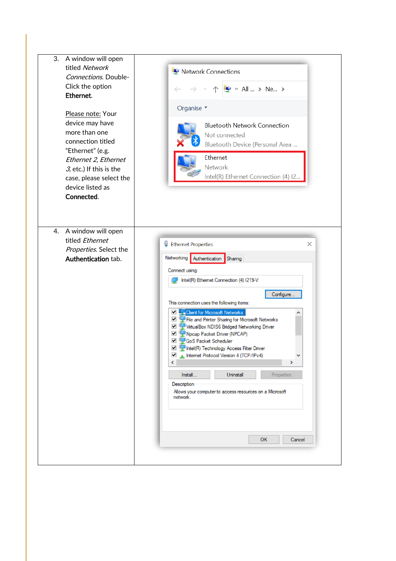| titled Network<br>Connections. Double-<br>Click the option<br>Ethernet.<br>Please note: Your<br>device may have<br>more than one<br>connection titled<br>"Ethernet" (e.g.<br>Ethernet 2, Ethernet<br>$3$ , etc.) If this is the<br>case, please select the<br>device listed as<br>Connected. | Network Connections<br>$\blacktriangleright$ « All  > Ne ><br>Organise *<br><b>Bluetooth Network Connection</b><br>Not connected<br>Bluetooth Device (Personal Area<br>Ethernet<br><b>Network</b><br>Intel(R) Ethernet Connection (4) I2                                                                                                                                                                                                                                                                                                                                                                                                                                       |
|----------------------------------------------------------------------------------------------------------------------------------------------------------------------------------------------------------------------------------------------------------------------------------------------|--------------------------------------------------------------------------------------------------------------------------------------------------------------------------------------------------------------------------------------------------------------------------------------------------------------------------------------------------------------------------------------------------------------------------------------------------------------------------------------------------------------------------------------------------------------------------------------------------------------------------------------------------------------------------------|
| A window will open<br>4.<br>titled Ethernet<br>Properties. Select the<br>Authentication tab.                                                                                                                                                                                                 | Ψ<br><b>Ethernet Properties</b><br>X<br>Networking Authentication<br>Sharing<br>Connect using:<br>Intel(R) Ethemet Connection (4) I219-V<br>Configure<br>This connection uses the following items:<br><b>V Client for Microsoft Networks</b><br>File and Printer Sharing for Microsoft Networks<br>■ VirtualBox NDIS6 Bridged Networking Driver<br>No Report Packet Driver (NPCAP)<br>QoS Packet Scheduler<br>Intel(R) Technology Access Filter Driver<br>Internet Protocol Version 4 (TCP/IPv4)<br>٧<br>$\rightarrow$<br>≺<br>Uninstall<br>Install<br>Properties<br>Description<br>Allows your computer to access resources on a Microsoft<br>network.<br><b>OK</b><br>Cancel |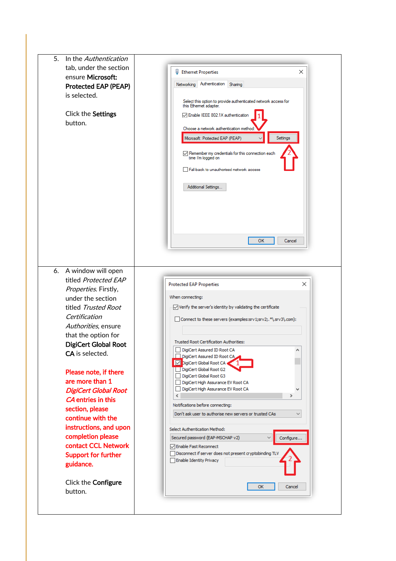| 5.<br>In the Authentication<br>tab, under the section<br>ensure Microsoft:<br><b>Protected EAP (PEAP)</b><br>is selected.<br>Click the Settings<br>button.                                                                                                                              | φ<br><b>Ethernet Properties</b><br>×<br>Authentication<br>Networking<br>Sharing<br>Select this option to provide authenticated network access for<br>this Ethemet adapter.<br>□ Enable IEEE 802.1X authentication<br>Choose a network authentication method<br>Microsoft: Protected EAP (PEAP)<br>Settings<br>$\sqrt{}$ Remember my credentials for this connection each<br>time I'm logged on<br>Fall-back to unauthorised network access<br>Additional Settings                                                                                    |
|-----------------------------------------------------------------------------------------------------------------------------------------------------------------------------------------------------------------------------------------------------------------------------------------|------------------------------------------------------------------------------------------------------------------------------------------------------------------------------------------------------------------------------------------------------------------------------------------------------------------------------------------------------------------------------------------------------------------------------------------------------------------------------------------------------------------------------------------------------|
| 6. A window will open<br>titled Protected EAP<br>Properties. Firstly,<br>under the section<br>titled Trusted Root<br>Certification<br>Authorities, ensure<br>that the option for<br><b>DigiCert Global Root</b>                                                                         | OK<br>Cancel<br>×<br><b>Protected EAP Properties</b><br>When connecting:<br>$\sqrt{}$ Verify the server's identity by validating the certificate<br>Connect to these servers (examples:srv1;srv2;.*\.srv3\.com):<br><b>Trusted Root Certification Authorities:</b>                                                                                                                                                                                                                                                                                   |
| <b>CA</b> is selected.<br>Please note, if there<br>are more than 1<br><b>DigiCert Global Root</b><br><b>CA</b> entries in this<br>section, please<br>continue with the<br>instructions, and upon<br>completion please<br>contact CCL Network<br><b>Support for further</b><br>guidance. | DigiCert Assured ID Root CA<br>DigiCert Assured ID Root CA<br>DigiCert Global Root CA<br>DigiCert Global Root G2<br>DigiCert Global Root G3<br>DigiCert High Assurance EV Root CA<br>DigiCert High Assurance EV Root CA<br>∢<br>Notifications before connecting:<br>Don't ask user to authorise new servers or trusted CAs<br>Select Authentication Method:<br>Secured password (EAP-MSCHAP v2)<br>$\checkmark$<br>Configure<br><b>D</b> Enable Fast Reconnect<br>Disconnect if server does not present cryptobinding TLV<br>Enable Identity Privacy |
| Click the Configure<br>button.                                                                                                                                                                                                                                                          | OK<br>Cancel                                                                                                                                                                                                                                                                                                                                                                                                                                                                                                                                         |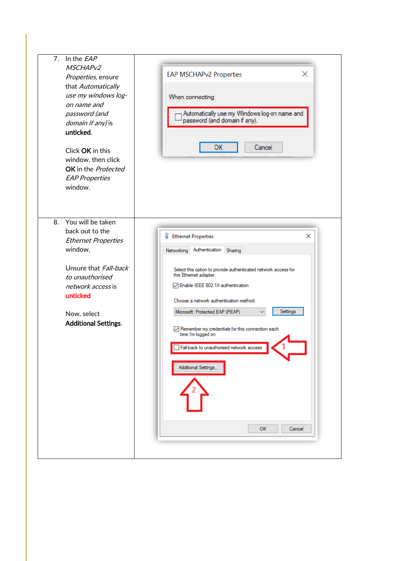| 7.<br>In the $EAP$<br>MSCHAPv2<br>Properties, ensure<br>that Automatically<br>use my windows log-<br>on name and<br>password (and<br><i>domain if any)</i> is<br>unticked.<br>Click OK in this<br>window, then click<br>OK in the Protected<br><b>EAP Properties</b><br>window. | ×<br><b>EAP MSCHAPv2 Properties</b><br>When connecting:<br>Automatically use my Windows log-on name and<br>password (and domain if any).<br>OK<br>Cancel                                                                                                                                                                                                                                                                                                                          |
|---------------------------------------------------------------------------------------------------------------------------------------------------------------------------------------------------------------------------------------------------------------------------------|-----------------------------------------------------------------------------------------------------------------------------------------------------------------------------------------------------------------------------------------------------------------------------------------------------------------------------------------------------------------------------------------------------------------------------------------------------------------------------------|
| You will be taken<br>8.<br>back out to the<br><b>Ethernet Properties</b><br>window,<br>Unsure that Fall-back<br>to unauthorised<br>network access is<br>unticked<br>Now, select<br><b>Additional Settings.</b>                                                                  | ×<br>ц<br><b>Ethernet Properties</b><br>Authentication<br>Networking<br>Sharing<br>Select this option to provide authenticated network access for<br>this Ethemet adapter.<br>○ Enable IEEE 802.1X authentication<br>Choose a network authentication method:<br>Settings<br>Microsoft: Protected EAP (PEAP)<br>○ Remember my credentials for this connection each<br>time I'm logged on<br>Fall-back to unauthorised network access<br>Additional Settings<br><b>OK</b><br>Cancel |